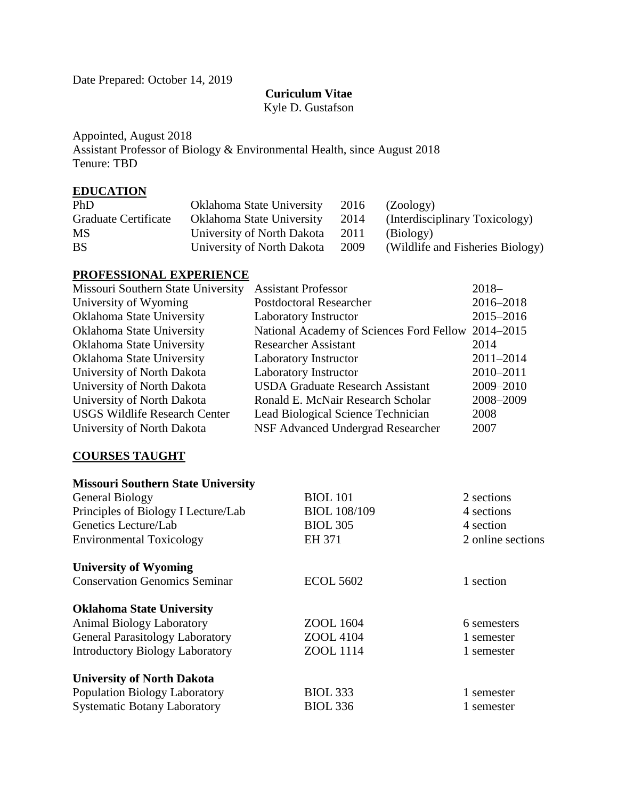Date Prepared: October 14, 2019

#### **Curiculum Vitae**

Kyle D. Gustafson

Appointed, August 2018 Assistant Professor of Biology & Environmental Health, since August 2018 Tenure: TBD

### **EDUCATION**

| PhD                         | Oklahoma State University       | 2016 | (Zoology)                        |
|-----------------------------|---------------------------------|------|----------------------------------|
| <b>Graduate Certificate</b> | Oklahoma State University       | 2014 | (Interdisciplinary Toxicology)   |
| <b>MS</b>                   | University of North Dakota 2011 |      | (Biology)                        |
| <b>BS</b>                   | University of North Dakota      | 2009 | (Wildlife and Fisheries Biology) |

#### **PROFESSIONAL EXPERIENCE**

| Missouri Southern State University   | <b>Assistant Professor</b>                         | $2018-$       |
|--------------------------------------|----------------------------------------------------|---------------|
| University of Wyoming                | <b>Postdoctoral Researcher</b>                     | 2016-2018     |
| Oklahoma State University            | Laboratory Instructor                              | 2015-2016     |
| Oklahoma State University            | National Academy of Sciences Ford Fellow 2014–2015 |               |
| Oklahoma State University            | <b>Researcher Assistant</b>                        | 2014          |
| Oklahoma State University            | Laboratory Instructor                              | $2011 - 2014$ |
| University of North Dakota           | Laboratory Instructor                              | 2010-2011     |
| University of North Dakota           | <b>USDA Graduate Research Assistant</b>            | 2009-2010     |
| University of North Dakota           | Ronald E. McNair Research Scholar                  | 2008-2009     |
| <b>USGS Wildlife Research Center</b> | Lead Biological Science Technician                 | 2008          |
| University of North Dakota           | NSF Advanced Undergrad Researcher                  | 2007          |

### **COURSES TAUGHT**

| <b>Missouri Southern State University</b> |                     |                   |
|-------------------------------------------|---------------------|-------------------|
| General Biology                           | <b>BIOL</b> 101     | 2 sections        |
| Principles of Biology I Lecture/Lab       | <b>BIOL 108/109</b> | 4 sections        |
| Genetics Lecture/Lab                      | <b>BIOL 305</b>     | 4 section         |
| <b>Environmental Toxicology</b>           | EH 371              | 2 online sections |
| <b>University of Wyoming</b>              |                     |                   |
| <b>Conservation Genomics Seminar</b>      | <b>ECOL 5602</b>    | 1 section         |
| <b>Oklahoma State University</b>          |                     |                   |
| <b>Animal Biology Laboratory</b>          | ZOOL 1604           | 6 semesters       |
| <b>General Parasitology Laboratory</b>    | ZOOL 4104           | 1 semester        |
| <b>Introductory Biology Laboratory</b>    | ZOOL 1114           | 1 semester        |
| <b>University of North Dakota</b>         |                     |                   |
| <b>Population Biology Laboratory</b>      | <b>BIOL 333</b>     | 1 semester        |
| <b>Systematic Botany Laboratory</b>       | <b>BIOL 336</b>     | 1 semester        |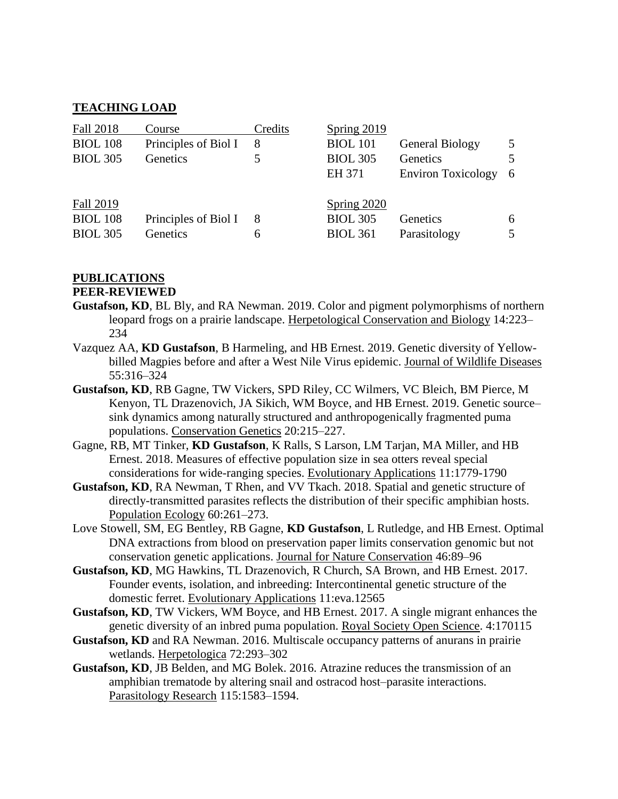#### **TEACHING LOAD**

| Fall 2018       | Course               | Credits | <b>Spring 2019</b> |                           |    |
|-----------------|----------------------|---------|--------------------|---------------------------|----|
| <b>BIOL 108</b> | Principles of Biol I | 8       | <b>BIOL</b> 101    | <b>General Biology</b>    | 5  |
| <b>BIOL 305</b> | Genetics             |         | <b>BIOL 305</b>    | Genetics                  | 5  |
|                 |                      |         | EH 371             | <b>Environ Toxicology</b> | -6 |
| Fall 2019       |                      |         | Spring $2020$      |                           |    |
| <b>BIOL 108</b> | Principles of Biol I | 8       | <b>BIOL 305</b>    | Genetics                  | 6  |
| <b>BIOL 305</b> | Genetics             | 6       | <b>BIOL 361</b>    | Parasitology              | 5  |

#### **PUBLICATIONS**

#### **PEER-REVIEWED**

- **Gustafson, KD**, BL Bly, and RA Newman. 2019. Color and pigment polymorphisms of northern leopard frogs on a prairie landscape. Herpetological Conservation and Biology 14:223– 234
- Vazquez AA, **KD Gustafson**, B Harmeling, and HB Ernest. 2019. Genetic diversity of Yellowbilled Magpies before and after a West Nile Virus epidemic. Journal of Wildlife Diseases 55:316–324
- **Gustafson, KD**, RB Gagne, TW Vickers, SPD Riley, CC Wilmers, VC Bleich, BM Pierce, M Kenyon, TL Drazenovich, JA Sikich, WM Boyce, and HB Ernest. 2019. Genetic source– sink dynamics among naturally structured and anthropogenically fragmented puma populations. Conservation Genetics 20:215–227.
- Gagne, RB, MT Tinker, **KD Gustafson**, K Ralls, S Larson, LM Tarjan, MA Miller, and HB Ernest. 2018. Measures of effective population size in sea otters reveal special considerations for wide-ranging species. Evolutionary Applications 11:1779-1790
- **Gustafson, KD**, RA Newman, T Rhen, and VV Tkach. 2018. Spatial and genetic structure of directly-transmitted parasites reflects the distribution of their specific amphibian hosts. Population Ecology 60:261–273.
- Love Stowell, SM, EG Bentley, RB Gagne, **KD Gustafson**, L Rutledge, and HB Ernest. Optimal DNA extractions from blood on preservation paper limits conservation genomic but not conservation genetic applications. Journal for Nature Conservation 46:89–96
- **Gustafson, KD**, MG Hawkins, TL Drazenovich, R Church, SA Brown, and HB Ernest. 2017. Founder events, isolation, and inbreeding: Intercontinental genetic structure of the domestic ferret. Evolutionary Applications 11:eva.12565
- **Gustafson, KD**, TW Vickers, WM Boyce, and HB Ernest. 2017. A single migrant enhances the genetic diversity of an inbred puma population. Royal Society Open Science. 4:170115
- **Gustafson, KD** and RA Newman. 2016. Multiscale occupancy patterns of anurans in prairie wetlands. Herpetologica 72:293–302
- **Gustafson, KD**, JB Belden, and MG Bolek. 2016. Atrazine reduces the transmission of an amphibian trematode by altering snail and ostracod host–parasite interactions. Parasitology Research 115:1583–1594.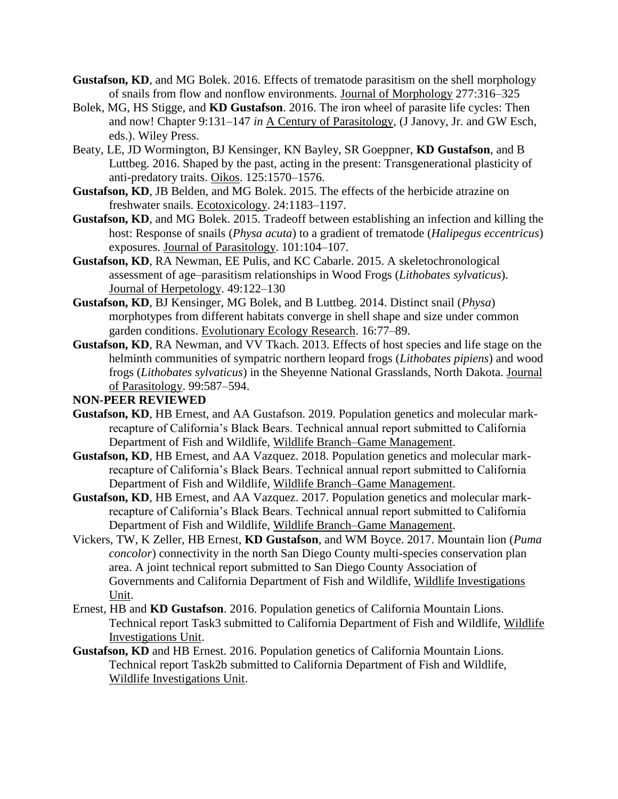- **Gustafson, KD**, and MG Bolek. 2016. Effects of trematode parasitism on the shell morphology of snails from flow and nonflow environments. Journal of Morphology 277:316–325
- Bolek, MG, HS Stigge, and **KD Gustafson**. 2016. The iron wheel of parasite life cycles: Then and now! Chapter 9:131–147 *in* A Century of Parasitology, (J Janovy, Jr. and GW Esch, eds.). Wiley Press.
- Beaty, LE, JD Wormington, BJ Kensinger, KN Bayley, SR Goeppner, **KD Gustafson**, and B Luttbeg. 2016. Shaped by the past, acting in the present: Transgenerational plasticity of anti-predatory traits. Oikos. 125:1570–1576.
- **Gustafson, KD**, JB Belden, and MG Bolek. 2015. The effects of the herbicide atrazine on freshwater snails. Ecotoxicology. 24:1183–1197.
- **Gustafson, KD**, and MG Bolek. 2015. Tradeoff between establishing an infection and killing the host: Response of snails (*Physa acuta*) to a gradient of trematode (*Halipegus eccentricus*) exposures. Journal of Parasitology. 101:104–107.
- **Gustafson, KD**, RA Newman, EE Pulis, and KC Cabarle. 2015. A skeletochronological assessment of age–parasitism relationships in Wood Frogs (*Lithobates sylvaticus*). Journal of Herpetology. 49:122–130
- **Gustafson, KD**, BJ Kensinger, MG Bolek, and B Luttbeg. 2014. Distinct snail (*Physa*) morphotypes from different habitats converge in shell shape and size under common garden conditions. Evolutionary Ecology Research. 16:77–89.
- **Gustafson, KD**, RA Newman, and VV Tkach. 2013. Effects of host species and life stage on the helminth communities of sympatric northern leopard frogs (*Lithobates pipiens*) and wood frogs (*Lithobates sylvaticus*) in the Sheyenne National Grasslands, North Dakota. Journal of Parasitology. 99:587–594.

#### **NON-PEER REVIEWED**

- **Gustafson, KD**, HB Ernest, and AA Gustafson. 2019. Population genetics and molecular markrecapture of California's Black Bears. Technical annual report submitted to California Department of Fish and Wildlife, Wildlife Branch–Game Management.
- **Gustafson, KD**, HB Ernest, and AA Vazquez. 2018. Population genetics and molecular markrecapture of California's Black Bears. Technical annual report submitted to California Department of Fish and Wildlife, Wildlife Branch–Game Management.
- **Gustafson, KD**, HB Ernest, and AA Vazquez. 2017. Population genetics and molecular markrecapture of California's Black Bears. Technical annual report submitted to California Department of Fish and Wildlife, Wildlife Branch–Game Management.
- Vickers, TW, K Zeller, HB Ernest, **KD Gustafson**, and WM Boyce. 2017. Mountain lion (*Puma concolor*) connectivity in the north San Diego County multi-species conservation plan area. A joint technical report submitted to San Diego County Association of Governments and California Department of Fish and Wildlife, Wildlife Investigations Unit.
- Ernest, HB and **KD Gustafson**. 2016. Population genetics of California Mountain Lions. Technical report Task3 submitted to California Department of Fish and Wildlife, Wildlife Investigations Unit.
- **Gustafson, KD** and HB Ernest. 2016. Population genetics of California Mountain Lions. Technical report Task2b submitted to California Department of Fish and Wildlife, Wildlife Investigations Unit.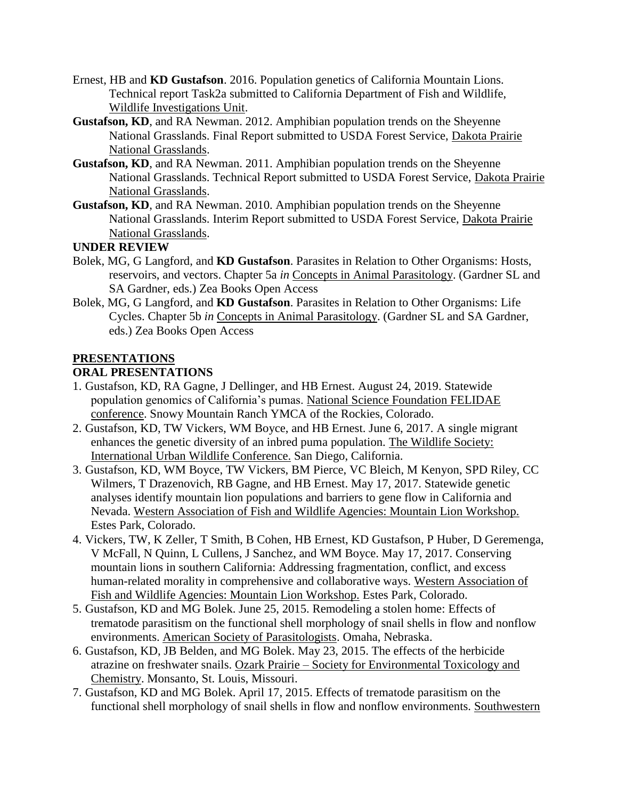- Ernest, HB and **KD Gustafson**. 2016. Population genetics of California Mountain Lions. Technical report Task2a submitted to California Department of Fish and Wildlife, Wildlife Investigations Unit.
- **Gustafson, KD**, and RA Newman. 2012. Amphibian population trends on the Sheyenne National Grasslands. Final Report submitted to USDA Forest Service, Dakota Prairie National Grasslands.
- **Gustafson, KD**, and RA Newman. 2011. Amphibian population trends on the Sheyenne National Grasslands. Technical Report submitted to USDA Forest Service, Dakota Prairie National Grasslands.
- **Gustafson, KD**, and RA Newman. 2010. Amphibian population trends on the Sheyenne National Grasslands. Interim Report submitted to USDA Forest Service, Dakota Prairie National Grasslands.

### **UNDER REVIEW**

- Bolek, MG, G Langford, and **KD Gustafson**. Parasites in Relation to Other Organisms: Hosts, reservoirs, and vectors. Chapter 5a *in* Concepts in Animal Parasitology. (Gardner SL and SA Gardner, eds.) Zea Books Open Access
- Bolek, MG, G Langford, and **KD Gustafson**. Parasites in Relation to Other Organisms: Life Cycles. Chapter 5b *in* Concepts in Animal Parasitology. (Gardner SL and SA Gardner, eds.) Zea Books Open Access

### **PRESENTATIONS**

### **ORAL PRESENTATIONS**

- 1. Gustafson, KD, RA Gagne, J Dellinger, and HB Ernest. August 24, 2019. Statewide population genomics of California's pumas. National Science Foundation FELIDAE conference. Snowy Mountain Ranch YMCA of the Rockies, Colorado.
- 2. Gustafson, KD, TW Vickers, WM Boyce, and HB Ernest. June 6, 2017. A single migrant enhances the genetic diversity of an inbred puma population. The Wildlife Society: International Urban Wildlife Conference. San Diego, California.
- 3. Gustafson, KD, WM Boyce, TW Vickers, BM Pierce, VC Bleich, M Kenyon, SPD Riley, CC Wilmers, T Drazenovich, RB Gagne, and HB Ernest. May 17, 2017. Statewide genetic analyses identify mountain lion populations and barriers to gene flow in California and Nevada. Western Association of Fish and Wildlife Agencies: Mountain Lion Workshop. Estes Park, Colorado.
- 4. Vickers, TW, K Zeller, T Smith, B Cohen, HB Ernest, KD Gustafson, P Huber, D Geremenga, V McFall, N Quinn, L Cullens, J Sanchez, and WM Boyce. May 17, 2017. Conserving mountain lions in southern California: Addressing fragmentation, conflict, and excess human-related morality in comprehensive and collaborative ways. Western Association of Fish and Wildlife Agencies: Mountain Lion Workshop. Estes Park, Colorado.
- 5. Gustafson, KD and MG Bolek. June 25, 2015. Remodeling a stolen home: Effects of trematode parasitism on the functional shell morphology of snail shells in flow and nonflow environments. American Society of Parasitologists. Omaha, Nebraska.
- 6. Gustafson, KD, JB Belden, and MG Bolek. May 23, 2015. The effects of the herbicide atrazine on freshwater snails. Ozark Prairie – Society for Environmental Toxicology and Chemistry. Monsanto, St. Louis, Missouri.
- 7. Gustafson, KD and MG Bolek. April 17, 2015. Effects of trematode parasitism on the functional shell morphology of snail shells in flow and nonflow environments. Southwestern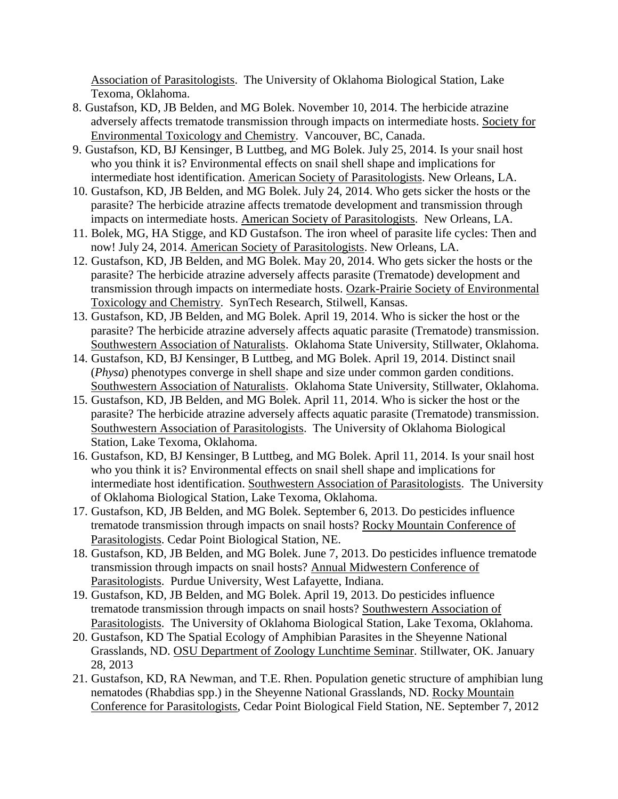Association of Parasitologists. The University of Oklahoma Biological Station, Lake Texoma, Oklahoma.

- 8. Gustafson, KD, JB Belden, and MG Bolek. November 10, 2014. The herbicide atrazine adversely affects trematode transmission through impacts on intermediate hosts. Society for Environmental Toxicology and Chemistry. Vancouver, BC, Canada.
- 9. Gustafson, KD, BJ Kensinger, B Luttbeg, and MG Bolek. July 25, 2014. Is your snail host who you think it is? Environmental effects on snail shell shape and implications for intermediate host identification. American Society of Parasitologists. New Orleans, LA.
- 10. Gustafson, KD, JB Belden, and MG Bolek. July 24, 2014. Who gets sicker the hosts or the parasite? The herbicide atrazine affects trematode development and transmission through impacts on intermediate hosts. American Society of Parasitologists. New Orleans, LA.
- 11. Bolek, MG, HA Stigge, and KD Gustafson. The iron wheel of parasite life cycles: Then and now! July 24, 2014. American Society of Parasitologists. New Orleans, LA.
- 12. Gustafson, KD, JB Belden, and MG Bolek. May 20, 2014. Who gets sicker the hosts or the parasite? The herbicide atrazine adversely affects parasite (Trematode) development and transmission through impacts on intermediate hosts. Ozark-Prairie Society of Environmental Toxicology and Chemistry. SynTech Research, Stilwell, Kansas.
- 13. Gustafson, KD, JB Belden, and MG Bolek. April 19, 2014. Who is sicker the host or the parasite? The herbicide atrazine adversely affects aquatic parasite (Trematode) transmission. Southwestern Association of Naturalists. Oklahoma State University, Stillwater, Oklahoma.
- 14. Gustafson, KD, BJ Kensinger, B Luttbeg, and MG Bolek. April 19, 2014. Distinct snail (*Physa*) phenotypes converge in shell shape and size under common garden conditions. Southwestern Association of Naturalists. Oklahoma State University, Stillwater, Oklahoma.
- 15. Gustafson, KD, JB Belden, and MG Bolek. April 11, 2014. Who is sicker the host or the parasite? The herbicide atrazine adversely affects aquatic parasite (Trematode) transmission. Southwestern Association of Parasitologists. The University of Oklahoma Biological Station, Lake Texoma, Oklahoma.
- 16. Gustafson, KD, BJ Kensinger, B Luttbeg, and MG Bolek. April 11, 2014. Is your snail host who you think it is? Environmental effects on snail shell shape and implications for intermediate host identification. Southwestern Association of Parasitologists. The University of Oklahoma Biological Station, Lake Texoma, Oklahoma.
- 17. Gustafson, KD, JB Belden, and MG Bolek. September 6, 2013. Do pesticides influence trematode transmission through impacts on snail hosts? Rocky Mountain Conference of Parasitologists. Cedar Point Biological Station, NE.
- 18. Gustafson, KD, JB Belden, and MG Bolek. June 7, 2013. Do pesticides influence trematode transmission through impacts on snail hosts? Annual Midwestern Conference of Parasitologists. Purdue University, West Lafayette, Indiana.
- 19. Gustafson, KD, JB Belden, and MG Bolek. April 19, 2013. Do pesticides influence trematode transmission through impacts on snail hosts? Southwestern Association of Parasitologists. The University of Oklahoma Biological Station, Lake Texoma, Oklahoma.
- 20. Gustafson, KD The Spatial Ecology of Amphibian Parasites in the Sheyenne National Grasslands, ND. OSU Department of Zoology Lunchtime Seminar. Stillwater, OK. January 28, 2013
- 21. Gustafson, KD, RA Newman, and T.E. Rhen. Population genetic structure of amphibian lung nematodes (Rhabdias spp.) in the Sheyenne National Grasslands, ND. Rocky Mountain Conference for Parasitologists, Cedar Point Biological Field Station, NE. September 7, 2012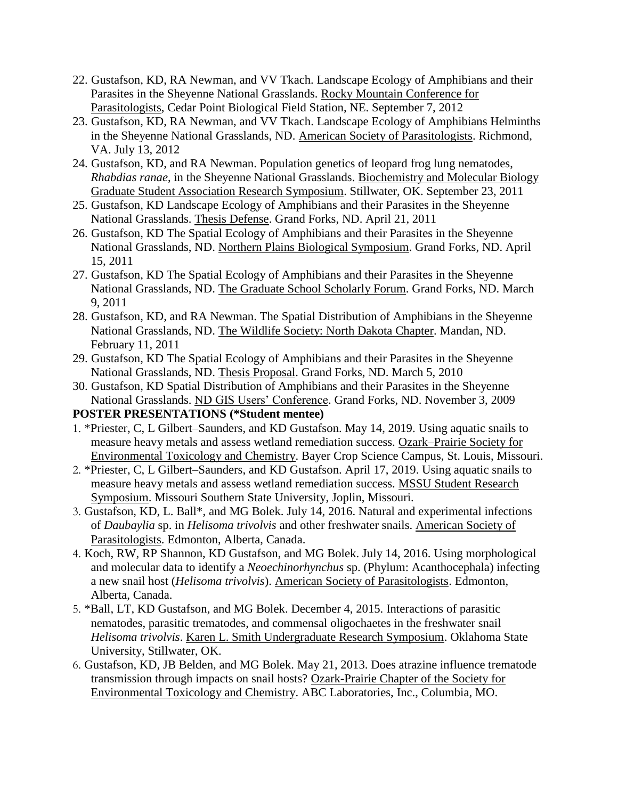- 22. Gustafson, KD, RA Newman, and VV Tkach. Landscape Ecology of Amphibians and their Parasites in the Sheyenne National Grasslands. Rocky Mountain Conference for Parasitologists, Cedar Point Biological Field Station, NE. September 7, 2012
- 23. Gustafson, KD, RA Newman, and VV Tkach. Landscape Ecology of Amphibians Helminths in the Sheyenne National Grasslands, ND. American Society of Parasitologists. Richmond, VA. July 13, 2012
- 24. Gustafson, KD, and RA Newman. Population genetics of leopard frog lung nematodes, *Rhabdias ranae*, in the Sheyenne National Grasslands. Biochemistry and Molecular Biology Graduate Student Association Research Symposium. Stillwater, OK. September 23, 2011
- 25. Gustafson, KD Landscape Ecology of Amphibians and their Parasites in the Sheyenne National Grasslands. Thesis Defense. Grand Forks, ND. April 21, 2011
- 26. Gustafson, KD The Spatial Ecology of Amphibians and their Parasites in the Sheyenne National Grasslands, ND. Northern Plains Biological Symposium. Grand Forks, ND. April 15, 2011
- 27. Gustafson, KD The Spatial Ecology of Amphibians and their Parasites in the Sheyenne National Grasslands, ND. The Graduate School Scholarly Forum. Grand Forks, ND. March 9, 2011
- 28. Gustafson, KD, and RA Newman. The Spatial Distribution of Amphibians in the Sheyenne National Grasslands, ND. The Wildlife Society: North Dakota Chapter. Mandan, ND. February 11, 2011
- 29. Gustafson, KD The Spatial Ecology of Amphibians and their Parasites in the Sheyenne National Grasslands, ND. Thesis Proposal. Grand Forks, ND. March 5, 2010
- 30. Gustafson, KD Spatial Distribution of Amphibians and their Parasites in the Sheyenne National Grasslands. ND GIS Users' Conference. Grand Forks, ND. November 3, 2009

### **POSTER PRESENTATIONS (\*Student mentee)**

- 1. \*Priester, C, L Gilbert–Saunders, and KD Gustafson. May 14, 2019. Using aquatic snails to measure heavy metals and assess wetland remediation success. Ozark–Prairie Society for Environmental Toxicology and Chemistry. Bayer Crop Science Campus, St. Louis, Missouri.
- 2. \*Priester, C, L Gilbert–Saunders, and KD Gustafson. April 17, 2019. Using aquatic snails to measure heavy metals and assess wetland remediation success. MSSU Student Research Symposium. Missouri Southern State University, Joplin, Missouri.
- 3. Gustafson, KD, L. Ball\*, and MG Bolek. July 14, 2016. Natural and experimental infections of *Daubaylia* sp. in *Helisoma trivolvis* and other freshwater snails. American Society of Parasitologists. Edmonton, Alberta, Canada.
- 4. Koch, RW, RP Shannon, KD Gustafson, and MG Bolek. July 14, 2016. Using morphological and molecular data to identify a *Neoechinorhynchus* sp. (Phylum: Acanthocephala) infecting a new snail host (*Helisoma trivolvis*). American Society of Parasitologists. Edmonton, Alberta, Canada.
- 5. \*Ball, LT, KD Gustafson, and MG Bolek. December 4, 2015. Interactions of parasitic nematodes, parasitic trematodes, and commensal oligochaetes in the freshwater snail *Helisoma trivolvis*. Karen L. Smith Undergraduate Research Symposium. Oklahoma State University, Stillwater, OK.
- 6. Gustafson, KD, JB Belden, and MG Bolek. May 21, 2013. Does atrazine influence trematode transmission through impacts on snail hosts? Ozark-Prairie Chapter of the Society for Environmental Toxicology and Chemistry. ABC Laboratories, Inc., Columbia, MO.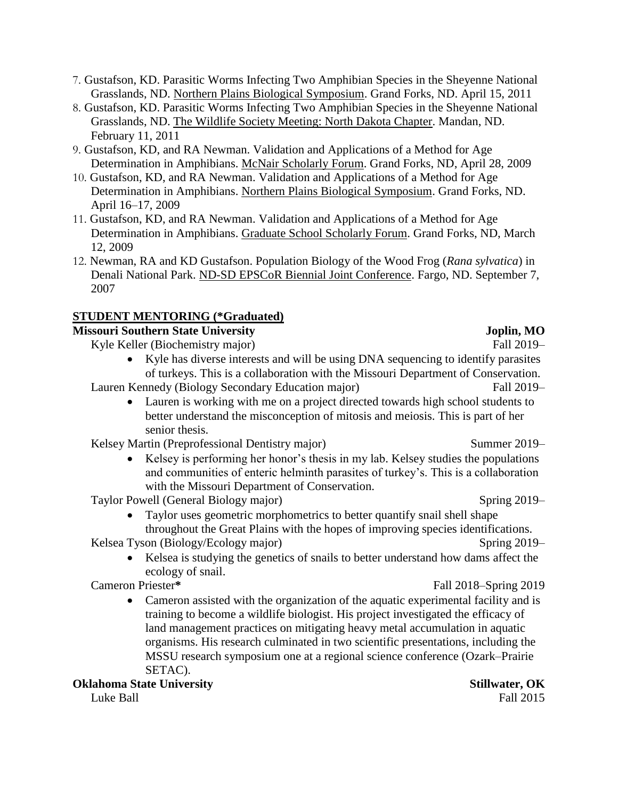- 7. Gustafson, KD. Parasitic Worms Infecting Two Amphibian Species in the Sheyenne National Grasslands, ND. Northern Plains Biological Symposium. Grand Forks, ND. April 15, 2011
- 8. Gustafson, KD. Parasitic Worms Infecting Two Amphibian Species in the Sheyenne National Grasslands, ND. The Wildlife Society Meeting: North Dakota Chapter. Mandan, ND. February 11, 2011
- 9. Gustafson, KD, and RA Newman. Validation and Applications of a Method for Age Determination in Amphibians. McNair Scholarly Forum. Grand Forks, ND, April 28, 2009
- 10. Gustafson, KD, and RA Newman. Validation and Applications of a Method for Age Determination in Amphibians. Northern Plains Biological Symposium. Grand Forks, ND. April 16–17, 2009
- 11. Gustafson, KD, and RA Newman. Validation and Applications of a Method for Age Determination in Amphibians. Graduate School Scholarly Forum. Grand Forks, ND, March 12, 2009
- 12. Newman, RA and KD Gustafson. Population Biology of the Wood Frog (*Rana sylvatica*) in Denali National Park. ND-SD EPSCoR Biennial Joint Conference. Fargo, ND. September 7, 2007

## **STUDENT MENTORING (\*Graduated)**

# **Missouri Southern State University Joplin, MO**

Kyle Keller (Biochemistry major) Fall 2019–

• Kyle has diverse interests and will be using DNA sequencing to identify parasites of turkeys. This is a collaboration with the Missouri Department of Conservation.

Lauren Kennedy (Biology Secondary Education major) Fall 2019–

• Lauren is working with me on a project directed towards high school students to better understand the misconception of mitosis and meiosis. This is part of her senior thesis.

Kelsey Martin (Preprofessional Dentistry major) Summer 2019–

Kelsey is performing her honor's thesis in my lab. Kelsey studies the populations and communities of enteric helminth parasites of turkey's. This is a collaboration with the Missouri Department of Conservation.

Taylor Powell (General Biology major) Spring 2019–

• Taylor uses geometric morphometrics to better quantify snail shell shape throughout the Great Plains with the hopes of improving species identifications.

Kelsea Tyson (Biology/Ecology major) Spring 2019–

• Kelsea is studying the genetics of snails to better understand how dams affect the ecology of snail.

Cameron Priester**\*** Fall 2018–Spring 2019

• Cameron assisted with the organization of the aquatic experimental facility and is training to become a wildlife biologist. His project investigated the efficacy of land management practices on mitigating heavy metal accumulation in aquatic organisms. His research culminated in two scientific presentations, including the MSSU research symposium one at a regional science conference (Ozark–Prairie SETAC).

**Oklahoma State University Stillwater, OK**

Luke Ball 2015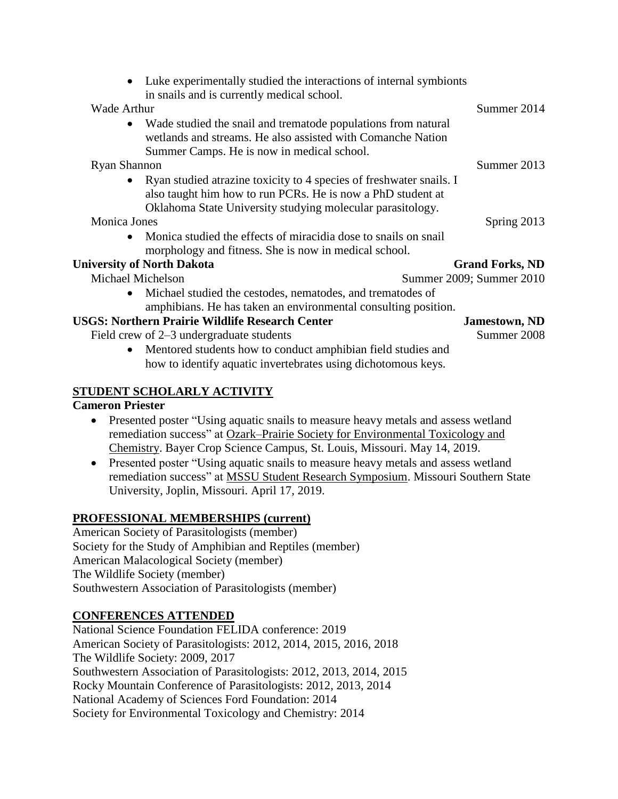| Luke experimentally studied the interactions of internal symbionts<br>in snails and is currently medical school.                                                                                 |                          |
|--------------------------------------------------------------------------------------------------------------------------------------------------------------------------------------------------|--------------------------|
| Wade Arthur                                                                                                                                                                                      | Summer 2014              |
| Wade studied the snail and trematode populations from natural<br>wetlands and streams. He also assisted with Comanche Nation<br>Summer Camps. He is now in medical school.                       |                          |
| <b>Ryan Shannon</b>                                                                                                                                                                              | Summer 2013              |
| Ryan studied atrazine toxicity to 4 species of freshwater snails. I<br>also taught him how to run PCRs. He is now a PhD student at<br>Oklahoma State University studying molecular parasitology. |                          |
| <b>Monica Jones</b>                                                                                                                                                                              | Spring 2013              |
| Monica studied the effects of miracidia dose to snails on snail<br>morphology and fitness. She is now in medical school.                                                                         |                          |
| <b>University of North Dakota</b>                                                                                                                                                                | <b>Grand Forks, ND</b>   |
| Michael Michelson                                                                                                                                                                                | Summer 2009; Summer 2010 |
| Michael studied the cestodes, nematodes, and trematodes of<br>amphibians. He has taken an environmental consulting position.                                                                     |                          |
| <b>USGS: Northern Prairie Wildlife Research Center</b>                                                                                                                                           | <b>Jamestown, ND</b>     |
| Field crew of 2–3 undergraduate students                                                                                                                                                         | Summer 2008              |
| Mentored students how to conduct amphibian field studies and                                                                                                                                     |                          |
| how to identify aquatic invertebrates using dichotomous keys.                                                                                                                                    |                          |
|                                                                                                                                                                                                  |                          |

### **STUDENT SCHOLARLY ACTIVITY**

**Cameron Priester**

- Presented poster "Using aquatic snails to measure heavy metals and assess wetland remediation success" at Ozark–Prairie Society for Environmental Toxicology and Chemistry. Bayer Crop Science Campus, St. Louis, Missouri. May 14, 2019.
- Presented poster "Using aquatic snails to measure heavy metals and assess wetland remediation success" at MSSU Student Research Symposium. Missouri Southern State University, Joplin, Missouri. April 17, 2019.

### **PROFESSIONAL MEMBERSHIPS (current)**

American Society of Parasitologists (member) Society for the Study of Amphibian and Reptiles (member) American Malacological Society (member) The Wildlife Society (member) Southwestern Association of Parasitologists (member)

### **CONFERENCES ATTENDED**

National Science Foundation FELIDA conference: 2019 American Society of Parasitologists: 2012, 2014, 2015, 2016, 2018 The Wildlife Society: 2009, 2017 Southwestern Association of Parasitologists: 2012, 2013, 2014, 2015 Rocky Mountain Conference of Parasitologists: 2012, 2013, 2014 National Academy of Sciences Ford Foundation: 2014 Society for Environmental Toxicology and Chemistry: 2014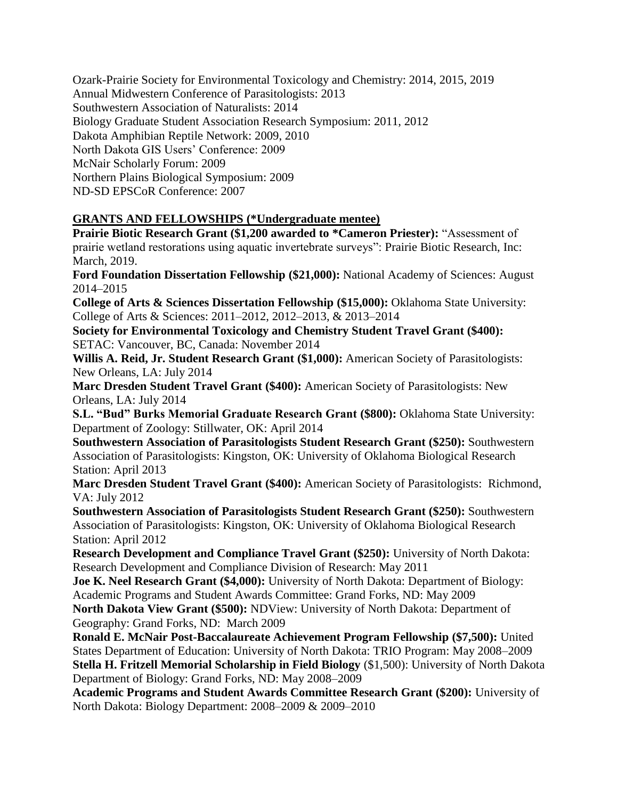Ozark-Prairie Society for Environmental Toxicology and Chemistry: 2014, 2015, 2019 Annual Midwestern Conference of Parasitologists: 2013 Southwestern Association of Naturalists: 2014 Biology Graduate Student Association Research Symposium: 2011, 2012 Dakota Amphibian Reptile Network: 2009, 2010 North Dakota GIS Users' Conference: 2009 McNair Scholarly Forum: 2009 Northern Plains Biological Symposium: 2009 ND-SD EPSCoR Conference: 2007

### **GRANTS AND FELLOWSHIPS (\*Undergraduate mentee)**

**Prairie Biotic Research Grant (\$1,200 awarded to \*Cameron Priester): "Assessment of** prairie wetland restorations using aquatic invertebrate surveys": Prairie Biotic Research, Inc: March, 2019.

**Ford Foundation Dissertation Fellowship (\$21,000):** National Academy of Sciences: August 2014–2015

**College of Arts & Sciences Dissertation Fellowship (\$15,000):** Oklahoma State University: College of Arts & Sciences: 2011–2012, 2012–2013, & 2013–2014

**Society for Environmental Toxicology and Chemistry Student Travel Grant (\$400):** SETAC: Vancouver, BC, Canada: November 2014

**Willis A. Reid, Jr. Student Research Grant (\$1,000):** American Society of Parasitologists: New Orleans, LA: July 2014

**Marc Dresden Student Travel Grant (\$400):** American Society of Parasitologists: New Orleans, LA: July 2014

**S.L. "Bud" Burks Memorial Graduate Research Grant (\$800):** Oklahoma State University: Department of Zoology: Stillwater, OK: April 2014

**Southwestern Association of Parasitologists Student Research Grant (\$250):** Southwestern Association of Parasitologists: Kingston, OK: University of Oklahoma Biological Research Station: April 2013

**Marc Dresden Student Travel Grant (\$400):** American Society of Parasitologists: Richmond, VA: July 2012

**Southwestern Association of Parasitologists Student Research Grant (\$250):** Southwestern Association of Parasitologists: Kingston, OK: University of Oklahoma Biological Research Station: April 2012

**Research Development and Compliance Travel Grant (\$250):** University of North Dakota: Research Development and Compliance Division of Research: May 2011

**Joe K. Neel Research Grant (\$4,000):** University of North Dakota: Department of Biology: Academic Programs and Student Awards Committee: Grand Forks, ND: May 2009

**North Dakota View Grant (\$500):** NDView: University of North Dakota: Department of Geography: Grand Forks, ND: March 2009

**Ronald E. McNair Post-Baccalaureate Achievement Program Fellowship (\$7,500):** United States Department of Education: University of North Dakota: TRIO Program: May 2008–2009 **Stella H. Fritzell Memorial Scholarship in Field Biology** (\$1,500): University of North Dakota Department of Biology: Grand Forks, ND: May 2008–2009

**Academic Programs and Student Awards Committee Research Grant (\$200):** University of North Dakota: Biology Department: 2008–2009 & 2009–2010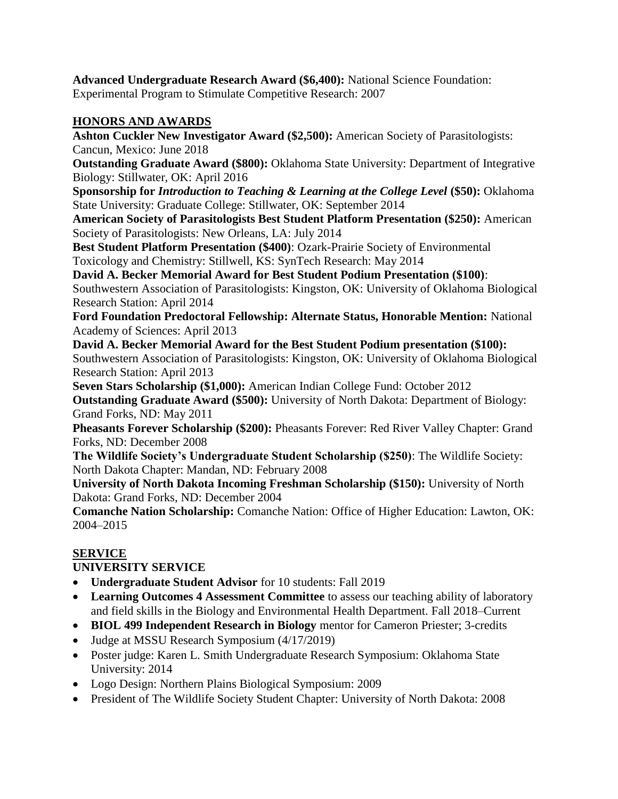**Advanced Undergraduate Research Award (\$6,400):** National Science Foundation: Experimental Program to Stimulate Competitive Research: 2007

### **HONORS AND AWARDS**

**Ashton Cuckler New Investigator Award (\$2,500):** American Society of Parasitologists: Cancun, Mexico: June 2018

**Outstanding Graduate Award (\$800):** Oklahoma State University: Department of Integrative Biology: Stillwater, OK: April 2016

**Sponsorship for** *Introduction to Teaching & Learning at the College Level* **(\$50):** Oklahoma State University: Graduate College: Stillwater, OK: September 2014

**American Society of Parasitologists Best Student Platform Presentation (\$250):** American Society of Parasitologists: New Orleans, LA: July 2014

**Best Student Platform Presentation (\$400)**: Ozark-Prairie Society of Environmental Toxicology and Chemistry: Stillwell, KS: SynTech Research: May 2014

**David A. Becker Memorial Award for Best Student Podium Presentation (\$100)**: Southwestern Association of Parasitologists: Kingston, OK: University of Oklahoma Biological Research Station: April 2014

**Ford Foundation Predoctoral Fellowship: Alternate Status, Honorable Mention:** National Academy of Sciences: April 2013

**David A. Becker Memorial Award for the Best Student Podium presentation (\$100):** Southwestern Association of Parasitologists: Kingston, OK: University of Oklahoma Biological Research Station: April 2013

**Seven Stars Scholarship (\$1,000):** American Indian College Fund: October 2012

**Outstanding Graduate Award (\$500):** University of North Dakota: Department of Biology: Grand Forks, ND: May 2011

**Pheasants Forever Scholarship (\$200):** Pheasants Forever: Red River Valley Chapter: Grand Forks, ND: December 2008

**The Wildlife Society's Undergraduate Student Scholarship (\$250)**: The Wildlife Society: North Dakota Chapter: Mandan, ND: February 2008

**University of North Dakota Incoming Freshman Scholarship (\$150):** University of North Dakota: Grand Forks, ND: December 2004

**Comanche Nation Scholarship:** Comanche Nation: Office of Higher Education: Lawton, OK: 2004–2015

### **SERVICE**

### **UNIVERSITY SERVICE**

- **Undergraduate Student Advisor** for 10 students: Fall 2019
- **Learning Outcomes 4 Assessment Committee** to assess our teaching ability of laboratory and field skills in the Biology and Environmental Health Department. Fall 2018–Current
- **BIOL 499 Independent Research in Biology** mentor for Cameron Priester; 3-credits
- Judge at MSSU Research Symposium (4/17/2019)
- Poster judge: Karen L. Smith Undergraduate Research Symposium: Oklahoma State University: 2014
- Logo Design: Northern Plains Biological Symposium: 2009
- President of The Wildlife Society Student Chapter: University of North Dakota: 2008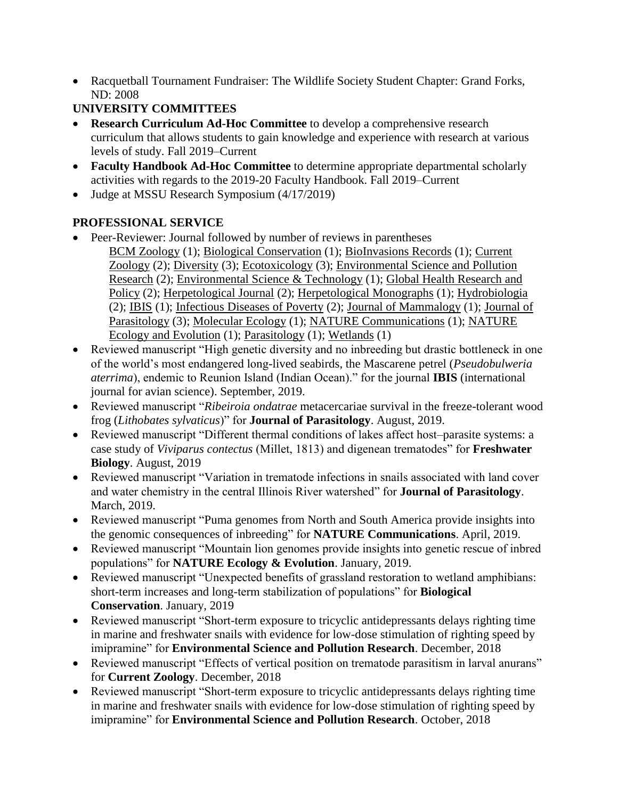• Racquetball Tournament Fundraiser: The Wildlife Society Student Chapter: Grand Forks, ND: 2008

### **UNIVERSITY COMMITTEES**

- **Research Curriculum Ad-Hoc Committee** to develop a comprehensive research curriculum that allows students to gain knowledge and experience with research at various levels of study. Fall 2019–Current
- **Faculty Handbook Ad-Hoc Committee** to determine appropriate departmental scholarly activities with regards to the 2019-20 Faculty Handbook. Fall 2019–Current
- Judge at MSSU Research Symposium (4/17/2019)

## **PROFESSIONAL SERVICE**

- Peer-Reviewer: Journal followed by number of reviews in parentheses BCM Zoology (1); Biological Conservation (1); BioInvasions Records (1); Current Zoology (2); Diversity (3); Ecotoxicology (3); Environmental Science and Pollution Research (2); Environmental Science & Technology (1); Global Health Research and Policy (2); Herpetological Journal (2); Herpetological Monographs (1); Hydrobiologia (2); IBIS (1); Infectious Diseases of Poverty (2); Journal of Mammalogy (1); Journal of Parasitology (3); Molecular Ecology (1); NATURE Communications (1); NATURE Ecology and Evolution (1); Parasitology (1); Wetlands (1)
- Reviewed manuscript "High genetic diversity and no inbreeding but drastic bottleneck in one of the world's most endangered long-lived seabirds, the Mascarene petrel (*Pseudobulweria aterrima*), endemic to Reunion Island (Indian Ocean)." for the journal **IBIS** (international journal for avian science). September, 2019.
- Reviewed manuscript "*Ribeiroia ondatrae* metacercariae survival in the freeze-tolerant wood frog (*Lithobates sylvaticus*)" for **Journal of Parasitology**. August, 2019.
- Reviewed manuscript "Different thermal conditions of lakes affect host–parasite systems: a case study of *Viviparus contectus* (Millet, 1813) and digenean trematodes" for **Freshwater Biology**. August, 2019
- Reviewed manuscript "Variation in trematode infections in snails associated with land cover and water chemistry in the central Illinois River watershed" for **Journal of Parasitology**. March, 2019.
- Reviewed manuscript "Puma genomes from North and South America provide insights into the genomic consequences of inbreeding" for **NATURE Communications**. April, 2019.
- Reviewed manuscript "Mountain lion genomes provide insights into genetic rescue of inbred populations" for **NATURE Ecology & Evolution**. January, 2019.
- Reviewed manuscript "Unexpected benefits of grassland restoration to wetland amphibians: short-term increases and long-term stabilization of populations" for **Biological Conservation**. January, 2019
- Reviewed manuscript "Short-term exposure to tricyclic antidepressants delays righting time in marine and freshwater snails with evidence for low-dose stimulation of righting speed by imipramine" for **Environmental Science and Pollution Research**. December, 2018
- Reviewed manuscript "Effects of vertical position on trematode parasitism in larval anurans" for **Current Zoology**. December, 2018
- Reviewed manuscript "Short-term exposure to tricyclic antidepressants delays righting time in marine and freshwater snails with evidence for low-dose stimulation of righting speed by imipramine" for **Environmental Science and Pollution Research**. October, 2018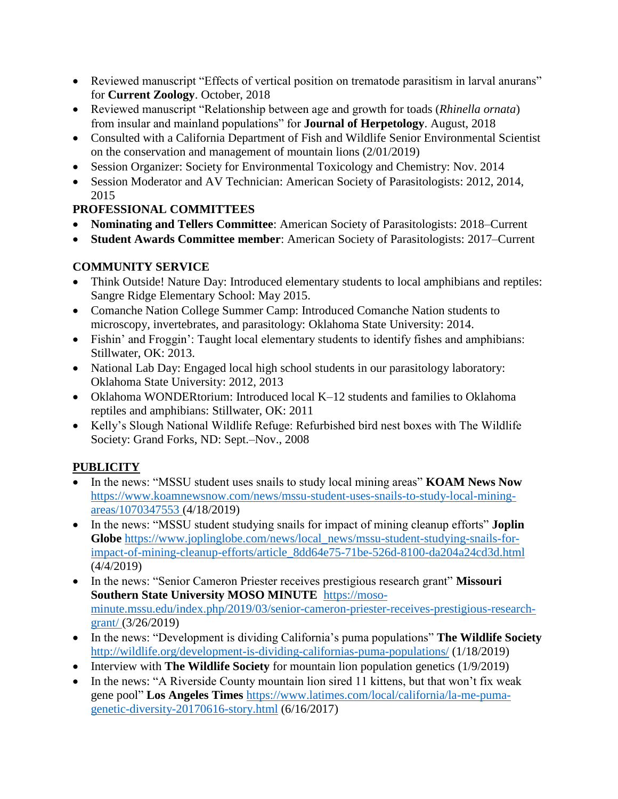- Reviewed manuscript "Effects of vertical position on trematode parasitism in larval anurans" for **Current Zoology**. October, 2018
- Reviewed manuscript "Relationship between age and growth for toads (*Rhinella ornata*) from insular and mainland populations" for **Journal of Herpetology**. August, 2018
- Consulted with a California Department of Fish and Wildlife Senior Environmental Scientist on the conservation and management of mountain lions (2/01/2019)
- Session Organizer: Society for Environmental Toxicology and Chemistry: Nov. 2014
- Session Moderator and AV Technician: American Society of Parasitologists: 2012, 2014, 2015

# **PROFESSIONAL COMMITTEES**

- **Nominating and Tellers Committee**: American Society of Parasitologists: 2018–Current
- **Student Awards Committee member**: American Society of Parasitologists: 2017–Current

### **COMMUNITY SERVICE**

- Think Outside! Nature Day: Introduced elementary students to local amphibians and reptiles: Sangre Ridge Elementary School: May 2015.
- Comanche Nation College Summer Camp: Introduced Comanche Nation students to microscopy, invertebrates, and parasitology: Oklahoma State University: 2014.
- Fishin' and Froggin': Taught local elementary students to identify fishes and amphibians: Stillwater, OK: 2013.
- National Lab Day: Engaged local high school students in our parasitology laboratory: Oklahoma State University: 2012, 2013
- Oklahoma WONDERtorium: Introduced local K–12 students and families to Oklahoma reptiles and amphibians: Stillwater, OK: 2011
- Kelly's Slough National Wildlife Refuge: Refurbished bird nest boxes with The Wildlife Society: Grand Forks, ND: Sept.–Nov., 2008

### **PUBLICITY**

- In the news: "MSSU student uses snails to study local mining areas" **KOAM News Now** [https://www.koamnewsnow.com/news/mssu-student-uses-snails-to-study-local-mining](https://www.koamnewsnow.com/news/mssu-student-uses-snails-to-study-local-mining-areas/1070347553)[areas/1070347553](https://www.koamnewsnow.com/news/mssu-student-uses-snails-to-study-local-mining-areas/1070347553) (4/18/2019)
- In the news: "MSSU student studying snails for impact of mining cleanup efforts" **Joplin Globe** [https://www.joplinglobe.com/news/local\\_news/mssu-student-studying-snails-for](https://www.joplinglobe.com/news/local_news/mssu-student-studying-snails-for-impact-of-mining-cleanup-efforts/article_8dd64e75-71be-526d-8100-da204a24cd3d.html)[impact-of-mining-cleanup-efforts/article\\_8dd64e75-71be-526d-8100-da204a24cd3d.html](https://www.joplinglobe.com/news/local_news/mssu-student-studying-snails-for-impact-of-mining-cleanup-efforts/article_8dd64e75-71be-526d-8100-da204a24cd3d.html) (4/4/2019)
- In the news: "Senior Cameron Priester receives prestigious research grant" **Missouri Southern State University MOSO MINUTE** [https://moso](https://moso-minute.mssu.edu/index.php/2019/03/senior-cameron-priester-receives-prestigious-research-grant/)[minute.mssu.edu/index.php/2019/03/senior-cameron-priester-receives-prestigious-research](https://moso-minute.mssu.edu/index.php/2019/03/senior-cameron-priester-receives-prestigious-research-grant/)[grant/](https://moso-minute.mssu.edu/index.php/2019/03/senior-cameron-priester-receives-prestigious-research-grant/) (3/26/2019)
- In the news: "Development is dividing California's puma populations" **The Wildlife Society** <http://wildlife.org/development-is-dividing-californias-puma-populations/> (1/18/2019)
- Interview with **The Wildlife Society** for mountain lion population genetics (1/9/2019)
- In the news: "A Riverside County mountain lion sired 11 kittens, but that won't fix weak gene pool" **Los Angeles Times** [https://www.latimes.com/local/california/la-me-puma](https://www.latimes.com/local/california/la-me-puma-genetic-diversity-20170616-story.html)[genetic-diversity-20170616-story.html](https://www.latimes.com/local/california/la-me-puma-genetic-diversity-20170616-story.html) (6/16/2017)